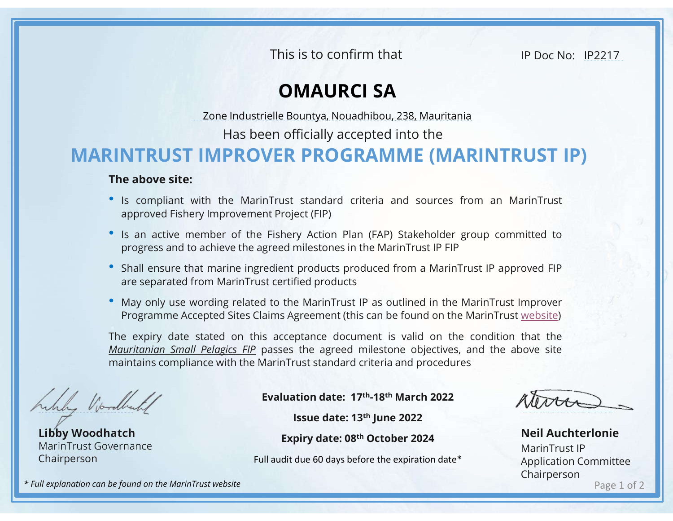This is to confirm that

IP Doc No: IP2217

## OMAURCI SA

Has been officially accepted into the

## MARINTRUST IMPROVER PROGRAMME (MARINTRUST IP) This is to confirm that IP Doc No: IP2217<br> **OMAURCI SA**<br>
Zone Industrielle Bountya, Nouadhibou, 238, Mauritania<br>
Has been officially accepted into the<br> **MPROVER PROGRAMME (MARINTRUST IP)**

## The above site:

- Is compliant with the MarinTrust standard criteria and sources from an MarinTrust approved Fishery Improvement Project (FIP)<br>• Is an active member of the Fishery Action Plan (FAP) Stakeholder group committed to progress This is to confirm that<br> **COMAURCI SA**<br>
Zone Industrielle Bountya, Nouadhibou, 238, Mauritania<br>
Has been officially accepted into the<br> **NTRUST IMPROVER PROGRAMME (MARINTRUST IP)**<br> **e above site:**<br>
Is compliant with the Mar Fhis is to confirm that<br>
• IP Doc No: IP2217.<br>
• **OMAURCI SA**<br>
• Zone Industrielle Bountya, Nouadhibou, 238, Mauritania<br>
• Has been officially accepted into the<br>
• IS compliant with the MarinTrust standard criteria and sou This is to confirm that<br> **OMAURCI SA**<br> **COMAURCI SA**<br> **COMBUSE TO ACCOM**<br> **COMBUSE TO ACCOM**<br> **PROGRAMME (MARINTRUST IP)**<br> **ROGRAMME (MARINTRUST IP)**<br> **ROGRAMME (MARINTRUST IP)**<br> **ROGRAMME (MARINTRUST IP)**<br> **ROGRAMME (MARI** FINS IS TO COMMET THAT THE TRANSPORT ON THE DOCTOR THE DRIVIT CONDUCT THE ABOVE SERVED THE ABOVE SERVED THE ABOVE SERVED THE ABOVE SERVED THE ABOVE SERVED THE ABOVE SERVED THE ABOVE SERVED THE ABOVE SERVED THE ABOVE SERVED **COMAURCI SA**<br>
Zone Industrielle Bountya, Nouadhibou, 238, Mauritania<br>
Has been officially accepted into the<br> **NTRUST IMPROVER PROGRAMME (MARINTRUST IP)**<br>
a bowe site:<br>
Is compliant with the MarinTrust standard criteria a
- 
- 
- 

**EXECT SANT SOM SET SANT SOMET SANT SET ASSET ASSET IMPROVER PROGRAMME (MARINTRUST IP)**<br> **FROM SET IMPROVER PROGRAMME (MARINTRUST IP)**<br>
The above site:<br>
" is compliant with the MarinTrust standard criteria and sources fro Zone Industrielle Bountya, Nouadhibou, 238, Mauritania<br>
Has been officially accepted into the<br> **NTRUST IP)**<br> **e above site:**<br>
Is compliant with the MarinTrust standard criteria and sources from an MarinTrust<br>
paproved Fish Has been officially accepted into the<br> **The above site:**<br>
• Is compliant with the MarinTrust standard criteria and sources from an MarinTrust<br>
• Si sompliant with the MarinTrust standard criteria and sources from an Marin THE ASSEM INTRUST IMPROVER PROGRAMME (MARINTRUST IP)<br>
The above site:<br>
"s is compliant with the MarinTrust standard criteria and sources from an MarinTrust<br>
"approved Fishery Improvement Project (FIP)<br>
"Is an active membe **EXERCT IMPROVER PROGRAMME (MARINTRUST IP)**<br>
The above site:<br>
" Is compliant with the MarinTrust standard criteria and sources from an MarinTrust<br>
" Is an active member of the Fishery Action Plan (FAP) Stakeholder group c State of the MarinTrust IP<br>
Detect (FIP)<br>
The products produced from a MarinTrust IP approved FIP<br>
Fied products<br>
EntainTrust IP as outlined in the MarinTrust Improver<br>
EntainTrust IP as outlined in the MarinTrust Improve

Libby Woodhatch MarinTrust Governance Chairperson

Evaluation date: 17th-18th March 2022

Expiry date: 08th October 2024

Full audit due 60 days before the expiration date\*

Page 1 of 2 Neil Auchterlonie MarinTrust IP Application Committee Chairperson

\* Full explanation can be found on the MarinTrust website